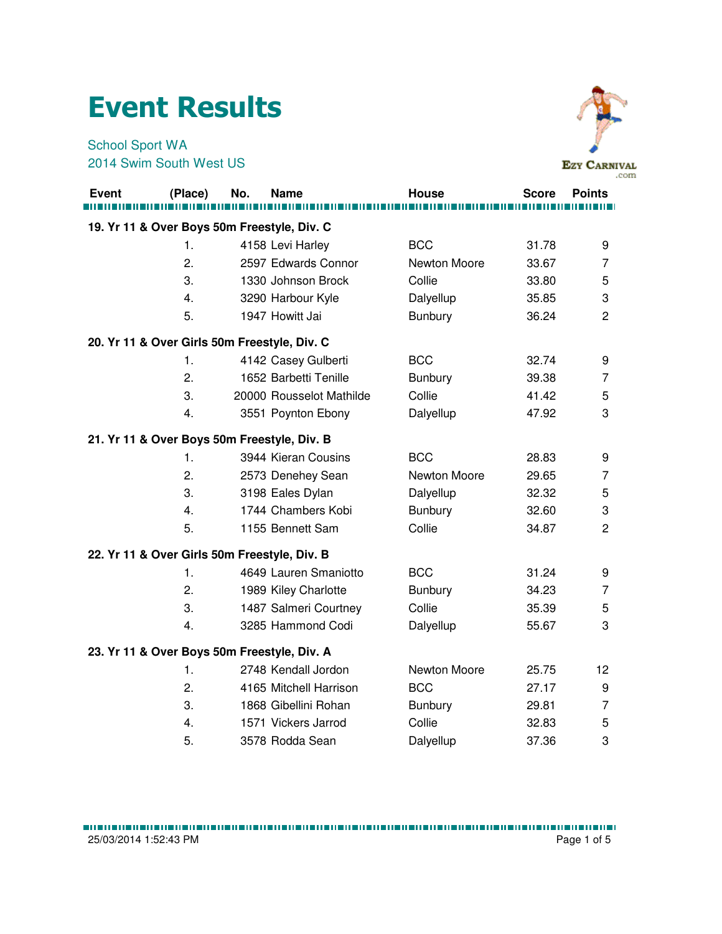## Event Results

## School Sport WA 2014 Swim South West US



|              |                                              |     |                          |                |              | .com           |
|--------------|----------------------------------------------|-----|--------------------------|----------------|--------------|----------------|
| <b>Event</b> | (Place)                                      | No. | <b>Name</b>              | <b>House</b>   | <b>Score</b> | <b>Points</b>  |
|              |                                              |     |                          |                |              |                |
|              | 19. Yr 11 & Over Boys 50m Freestyle, Div. C  |     |                          |                |              |                |
|              | 1.                                           |     | 4158 Levi Harley         | <b>BCC</b>     | 31.78        | 9              |
|              | $\overline{2}$ .                             |     | 2597 Edwards Connor      | Newton Moore   | 33.67        | $\overline{7}$ |
|              | 3.                                           |     | 1330 Johnson Brock       | Collie         | 33.80        | 5              |
|              | 4.                                           |     | 3290 Harbour Kyle        | Dalyellup      | 35.85        | 3              |
|              | 5.                                           |     | 1947 Howitt Jai          | <b>Bunbury</b> | 36.24        | $\overline{c}$ |
|              | 20. Yr 11 & Over Girls 50m Freestyle, Div. C |     |                          |                |              |                |
|              | 1.                                           |     | 4142 Casey Gulberti      | <b>BCC</b>     | 32.74        | 9              |
|              | 2.                                           |     | 1652 Barbetti Tenille    | <b>Bunbury</b> | 39.38        | 7              |
|              | 3.                                           |     | 20000 Rousselot Mathilde | Collie         | 41.42        | 5              |
|              | 4.                                           |     | 3551 Poynton Ebony       | Dalyellup      | 47.92        | 3              |
|              | 21. Yr 11 & Over Boys 50m Freestyle, Div. B  |     |                          |                |              |                |
|              | 1.                                           |     | 3944 Kieran Cousins      | <b>BCC</b>     | 28.83        | 9              |
|              | 2.                                           |     | 2573 Denehey Sean        | Newton Moore   | 29.65        | 7              |
|              | 3.                                           |     | 3198 Eales Dylan         | Dalyellup      | 32.32        | 5              |
|              | 4.                                           |     | 1744 Chambers Kobi       | <b>Bunbury</b> | 32.60        | 3              |
|              | 5.                                           |     | 1155 Bennett Sam         | Collie         | 34.87        | $\overline{c}$ |
|              | 22. Yr 11 & Over Girls 50m Freestyle, Div. B |     |                          |                |              |                |
|              | 1.                                           |     | 4649 Lauren Smaniotto    | <b>BCC</b>     | 31.24        | 9              |
|              | 2.                                           |     | 1989 Kiley Charlotte     | <b>Bunbury</b> | 34.23        | 7              |
|              | 3.                                           |     | 1487 Salmeri Courtney    | Collie         | 35.39        | 5              |
|              | 4.                                           |     | 3285 Hammond Codi        | Dalyellup      | 55.67        | 3              |
|              | 23. Yr 11 & Over Boys 50m Freestyle, Div. A  |     |                          |                |              |                |
|              | 1.                                           |     | 2748 Kendall Jordon      | Newton Moore   | 25.75        | 12             |
|              | 2.                                           |     | 4165 Mitchell Harrison   | <b>BCC</b>     | 27.17        | 9              |
|              | 3.                                           |     | 1868 Gibellini Rohan     | <b>Bunbury</b> | 29.81        | 7              |
|              | 4.                                           |     | 1571 Vickers Jarrod      | Collie         | 32.83        | 5              |
|              | 5.                                           |     | 3578 Rodda Sean          | Dalyellup      | 37.36        | 3              |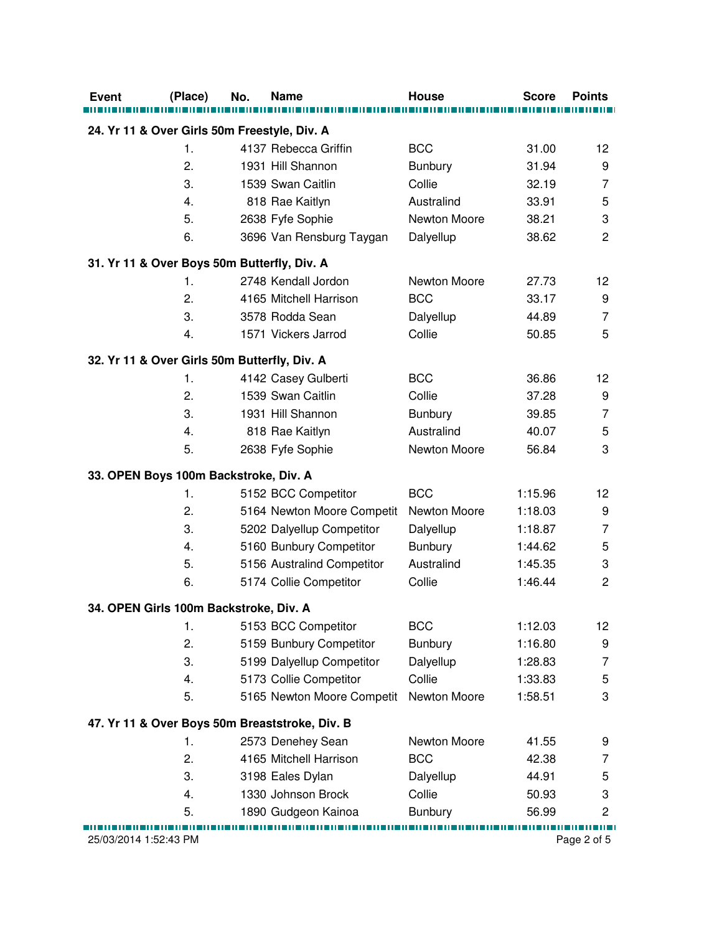| <b>Event</b>                                 | (Place)                                     | No. | Name                                           | <b>House</b>   | <b>Score</b> | <b>Points</b>  |
|----------------------------------------------|---------------------------------------------|-----|------------------------------------------------|----------------|--------------|----------------|
| 24. Yr 11 & Over Girls 50m Freestyle, Div. A |                                             |     |                                                |                |              |                |
|                                              | 1.                                          |     | 4137 Rebecca Griffin                           | <b>BCC</b>     | 31.00        | 12             |
|                                              | 2.                                          |     | 1931 Hill Shannon                              | <b>Bunbury</b> | 31.94        | 9              |
|                                              | 3.                                          |     | 1539 Swan Caitlin                              | Collie         | 32.19        | 7              |
|                                              | 4.                                          |     | 818 Rae Kaitlyn                                | Australind     | 33.91        | 5              |
|                                              | 5.                                          |     | 2638 Fyfe Sophie                               | Newton Moore   | 38.21        | 3              |
|                                              | 6.                                          |     | 3696 Van Rensburg Taygan                       | Dalyellup      | 38.62        | $\overline{c}$ |
|                                              | 31. Yr 11 & Over Boys 50m Butterfly, Div. A |     |                                                |                |              |                |
|                                              | 1.                                          |     | 2748 Kendall Jordon                            | Newton Moore   | 27.73        | 12             |
|                                              | 2.                                          |     | 4165 Mitchell Harrison                         | <b>BCC</b>     | 33.17        | 9              |
|                                              | 3.                                          |     | 3578 Rodda Sean                                | Dalyellup      | 44.89        | 7              |
|                                              | 4.                                          |     | 1571 Vickers Jarrod                            | Collie         | 50.85        | 5              |
| 32. Yr 11 & Over Girls 50m Butterfly, Div. A |                                             |     |                                                |                |              |                |
|                                              | 1.                                          |     | 4142 Casey Gulberti                            | <b>BCC</b>     | 36.86        | 12             |
|                                              | 2.                                          |     | 1539 Swan Caitlin                              | Collie         | 37.28        | 9              |
|                                              | 3.                                          |     | 1931 Hill Shannon                              | <b>Bunbury</b> | 39.85        | 7              |
|                                              | 4.                                          |     | 818 Rae Kaitlyn                                | Australind     | 40.07        | 5              |
|                                              | 5.                                          |     | 2638 Fyfe Sophie                               | Newton Moore   | 56.84        | 3              |
|                                              | 33. OPEN Boys 100m Backstroke, Div. A       |     |                                                |                |              |                |
|                                              | 1.                                          |     | 5152 BCC Competitor                            | <b>BCC</b>     | 1:15.96      | 12             |
|                                              | 2.                                          |     | 5164 Newton Moore Competit                     | Newton Moore   | 1:18.03      | 9              |
|                                              | 3.                                          |     | 5202 Dalyellup Competitor                      | Dalyellup      | 1:18.87      | 7              |
|                                              | 4.                                          |     | 5160 Bunbury Competitor                        | <b>Bunbury</b> | 1:44.62      | 5              |
|                                              | 5.                                          |     | 5156 Australind Competitor                     | Australind     | 1:45.35      | 3              |
|                                              | 6.                                          |     | 5174 Collie Competitor                         | Collie         | 1:46.44      | $\overline{2}$ |
|                                              | 34. OPEN Girls 100m Backstroke, Div. A      |     |                                                |                |              |                |
|                                              | 1.                                          |     | 5153 BCC Competitor                            | <b>BCC</b>     | 1:12.03      | 12             |
|                                              | 2.                                          |     | 5159 Bunbury Competitor                        | <b>Bunbury</b> | 1:16.80      | 9              |
|                                              | 3.                                          |     | 5199 Dalyellup Competitor                      | Dalyellup      | 1:28.83      | 7              |
|                                              | 4.                                          |     | 5173 Collie Competitor                         | Collie         | 1:33.83      | 5              |
|                                              | 5.                                          |     | 5165 Newton Moore Competit                     | Newton Moore   | 1:58.51      | 3              |
|                                              |                                             |     | 47. Yr 11 & Over Boys 50m Breaststroke, Div. B |                |              |                |
|                                              | 1.                                          |     | 2573 Denehey Sean                              | Newton Moore   | 41.55        | 9              |
|                                              | 2.                                          |     | 4165 Mitchell Harrison                         | <b>BCC</b>     | 42.38        | 7              |
|                                              | 3.                                          |     | 3198 Eales Dylan                               | Dalyellup      | 44.91        | 5              |
|                                              | 4.                                          |     | 1330 Johnson Brock                             | Collie         | 50.93        | 3              |
|                                              | 5.                                          |     | 1890 Gudgeon Kainoa                            | Bunbury        | 56.99        | 2              |
| 25/03/2014 1:52:43 PM                        |                                             |     |                                                |                |              | Page 2 of 5    |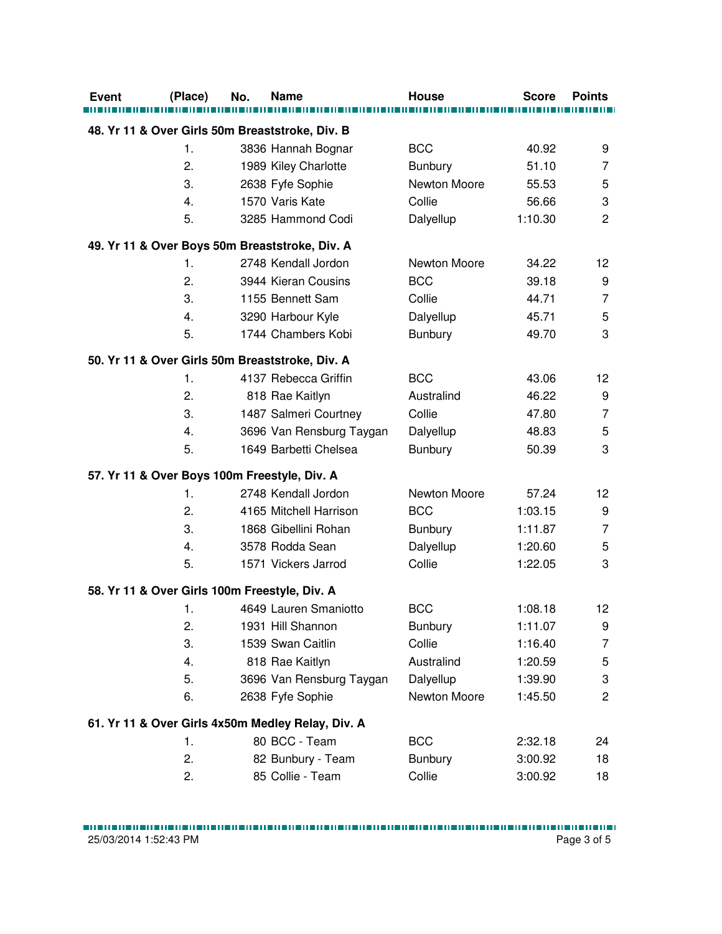| <b>Event</b>                                  | (Place) | No. | Name                                              | <b>House</b>   | <b>Score</b> | <b>Points</b>  |
|-----------------------------------------------|---------|-----|---------------------------------------------------|----------------|--------------|----------------|
|                                               |         |     |                                                   |                |              |                |
|                                               |         |     | 48. Yr 11 & Over Girls 50m Breaststroke, Div. B   |                |              |                |
|                                               | 1.      |     | 3836 Hannah Bognar                                | <b>BCC</b>     | 40.92        | 9              |
|                                               | 2.      |     | 1989 Kiley Charlotte                              | <b>Bunbury</b> | 51.10        | $\overline{7}$ |
|                                               | 3.      |     | 2638 Fyfe Sophie                                  | Newton Moore   | 55.53        | 5              |
|                                               | 4.      |     | 1570 Varis Kate                                   | Collie         | 56.66        | 3              |
|                                               | 5.      |     | 3285 Hammond Codi                                 | Dalyellup      | 1:10.30      | $\overline{2}$ |
|                                               |         |     | 49. Yr 11 & Over Boys 50m Breaststroke, Div. A    |                |              |                |
|                                               | 1.      |     | 2748 Kendall Jordon                               | Newton Moore   | 34.22        | 12             |
|                                               | 2.      |     | 3944 Kieran Cousins                               | <b>BCC</b>     | 39.18        | 9              |
|                                               | 3.      |     | 1155 Bennett Sam                                  | Collie         | 44.71        | $\overline{7}$ |
|                                               | 4.      |     | 3290 Harbour Kyle                                 | Dalyellup      | 45.71        | 5              |
|                                               | 5.      |     | 1744 Chambers Kobi                                | <b>Bunbury</b> | 49.70        | 3              |
|                                               |         |     | 50. Yr 11 & Over Girls 50m Breaststroke, Div. A   |                |              |                |
|                                               | 1.      |     | 4137 Rebecca Griffin                              | <b>BCC</b>     | 43.06        | 12             |
|                                               | 2.      |     | 818 Rae Kaitlyn                                   | Australind     | 46.22        | 9              |
|                                               | 3.      |     | 1487 Salmeri Courtney                             | Collie         | 47.80        | $\overline{7}$ |
|                                               | 4.      |     | 3696 Van Rensburg Taygan                          | Dalyellup      | 48.83        | $\mathbf 5$    |
|                                               | 5.      |     | 1649 Barbetti Chelsea                             | <b>Bunbury</b> | 50.39        | 3              |
| 57. Yr 11 & Over Boys 100m Freestyle, Div. A  |         |     |                                                   |                |              |                |
|                                               | 1.      |     | 2748 Kendall Jordon                               | Newton Moore   | 57.24        | 12             |
|                                               | 2.      |     | 4165 Mitchell Harrison                            | <b>BCC</b>     | 1:03.15      | 9              |
|                                               | 3.      |     | 1868 Gibellini Rohan                              | <b>Bunbury</b> | 1:11.87      | $\overline{7}$ |
|                                               | 4.      |     | 3578 Rodda Sean                                   | Dalyellup      | 1:20.60      | 5              |
|                                               | 5.      |     | 1571 Vickers Jarrod                               | Collie         | 1:22.05      | 3              |
| 58. Yr 11 & Over Girls 100m Freestyle, Div. A |         |     |                                                   |                |              |                |
|                                               | 1.      |     | 4649 Lauren Smaniotto                             | <b>BCC</b>     | 1:08.18      | 12             |
|                                               | 2.      |     | 1931 Hill Shannon                                 | <b>Bunbury</b> | 1:11.07      | 9              |
|                                               | 3.      |     | 1539 Swan Caitlin                                 | Collie         | 1:16.40      | 7              |
|                                               | 4.      |     | 818 Rae Kaitlyn                                   | Australind     | 1:20.59      | 5              |
|                                               | 5.      |     | 3696 Van Rensburg Taygan                          | Dalyellup      | 1:39.90      | 3              |
|                                               | 6.      |     | 2638 Fyfe Sophie                                  | Newton Moore   | 1:45.50      | $\overline{c}$ |
|                                               |         |     | 61. Yr 11 & Over Girls 4x50m Medley Relay, Div. A |                |              |                |
|                                               | 1.      |     | 80 BCC - Team                                     | <b>BCC</b>     | 2:32.18      | 24             |
|                                               | 2.      |     | 82 Bunbury - Team                                 | <b>Bunbury</b> | 3:00.92      | 18             |
|                                               | 2.      |     | 85 Collie - Team                                  | Collie         | 3:00.92      | 18             |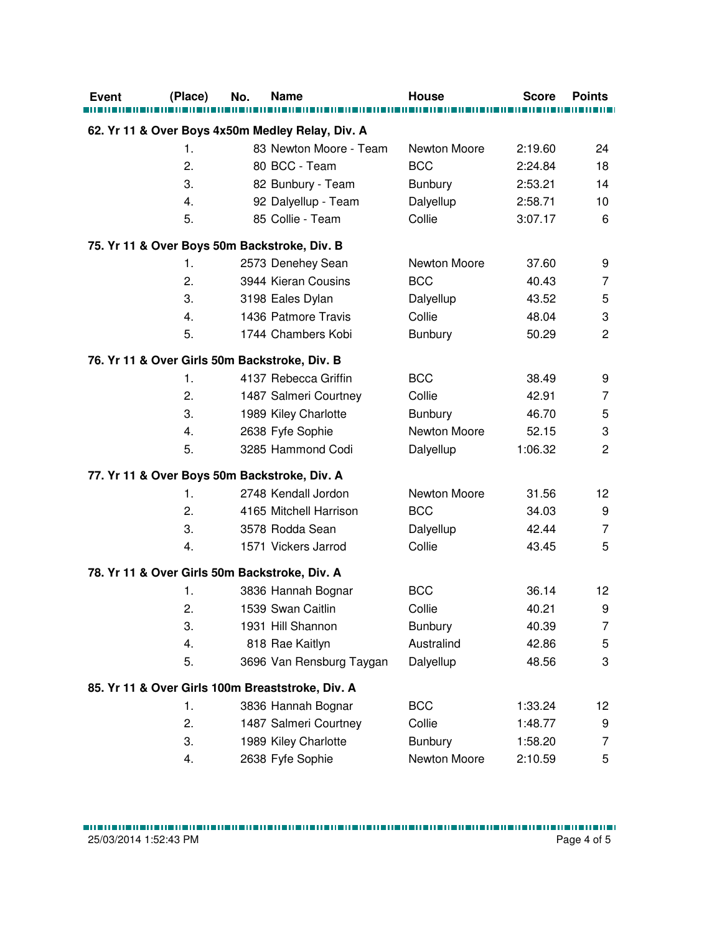| <b>Event</b> | (Place)        | No. | Name                                             | House          | <b>Score</b> | <b>Points</b>  |
|--------------|----------------|-----|--------------------------------------------------|----------------|--------------|----------------|
|              |                |     |                                                  |                |              |                |
|              |                |     | 62. Yr 11 & Over Boys 4x50m Medley Relay, Div. A |                |              |                |
|              | $\mathbf{1}$ . |     | 83 Newton Moore - Team                           | Newton Moore   | 2:19.60      | 24             |
|              | 2.             |     | 80 BCC - Team                                    | <b>BCC</b>     | 2:24.84      | 18             |
|              | 3.             |     | 82 Bunbury - Team                                | <b>Bunbury</b> | 2:53.21      | 14             |
|              | 4.             |     | 92 Dalyellup - Team                              | Dalyellup      | 2:58.71      | 10             |
|              | 5.             |     | 85 Collie - Team                                 | Collie         | 3:07.17      | 6              |
|              |                |     | 75. Yr 11 & Over Boys 50m Backstroke, Div. B     |                |              |                |
|              | 1.             |     | 2573 Denehey Sean                                | Newton Moore   | 37.60        | 9              |
|              | 2.             |     | 3944 Kieran Cousins                              | <b>BCC</b>     | 40.43        | $\overline{7}$ |
|              | 3.             |     | 3198 Eales Dylan                                 | Dalyellup      | 43.52        | 5              |
|              | 4.             |     | 1436 Patmore Travis                              | Collie         | 48.04        | 3              |
|              | 5.             |     | 1744 Chambers Kobi                               | <b>Bunbury</b> | 50.29        | $\overline{2}$ |
|              |                |     | 76. Yr 11 & Over Girls 50m Backstroke, Div. B    |                |              |                |
|              | 1.             |     | 4137 Rebecca Griffin                             | <b>BCC</b>     | 38.49        | 9              |
|              | 2.             |     | 1487 Salmeri Courtney                            | Collie         | 42.91        | $\overline{7}$ |
|              | 3.             |     | 1989 Kiley Charlotte                             | <b>Bunbury</b> | 46.70        | 5              |
|              | 4.             |     | 2638 Fyfe Sophie                                 | Newton Moore   | 52.15        | 3              |
|              | 5.             |     | 3285 Hammond Codi                                | Dalyellup      | 1:06.32      | $\overline{c}$ |
|              |                |     | 77. Yr 11 & Over Boys 50m Backstroke, Div. A     |                |              |                |
|              | $\mathbf{1}$ . |     | 2748 Kendall Jordon                              | Newton Moore   | 31.56        | 12             |
|              | 2.             |     | 4165 Mitchell Harrison                           | <b>BCC</b>     | 34.03        | 9              |
|              | 3.             |     | 3578 Rodda Sean                                  | Dalyellup      | 42.44        | $\overline{7}$ |
|              | 4.             |     | 1571 Vickers Jarrod                              | Collie         | 43.45        | 5              |
|              |                |     | 78. Yr 11 & Over Girls 50m Backstroke, Div. A    |                |              |                |
|              | 1.             |     | 3836 Hannah Bognar                               | <b>BCC</b>     | 36.14        | 12             |
|              | 2.             |     | 1539 Swan Caitlin                                | Collie         | 40.21        | 9              |
|              | 3.             |     | 1931 Hill Shannon                                | <b>Bunbury</b> | 40.39        | 7              |
|              | 4.             |     | 818 Rae Kaitlyn                                  | Australind     | 42.86        | 5              |
|              | 5.             |     | 3696 Van Rensburg Taygan                         | Dalyellup      | 48.56        | 3              |
|              |                |     | 85. Yr 11 & Over Girls 100m Breaststroke, Div. A |                |              |                |
|              | 1.             |     | 3836 Hannah Bognar                               | <b>BCC</b>     | 1:33.24      | 12             |
|              | 2.             |     | 1487 Salmeri Courtney                            | Collie         | 1:48.77      | 9              |
|              | 3.             |     | 1989 Kiley Charlotte                             | <b>Bunbury</b> | 1:58.20      | 7              |
|              | 4.             |     | 2638 Fyfe Sophie                                 | Newton Moore   | 2:10.59      | 5              |